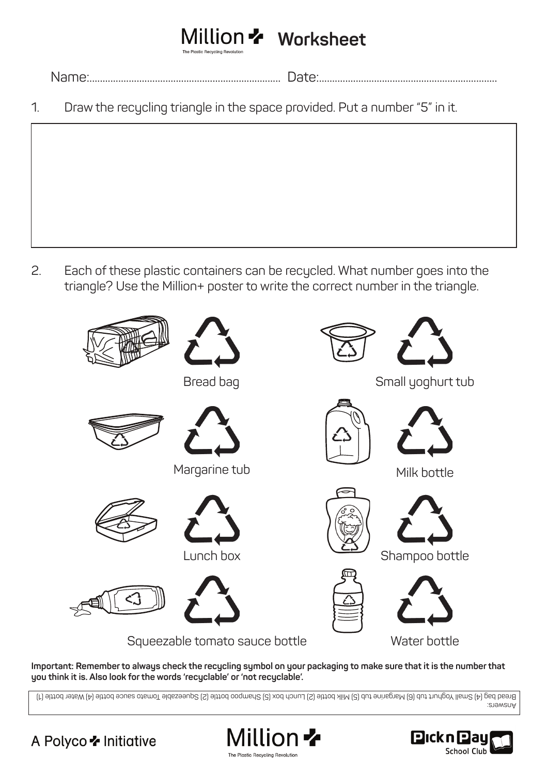## **Million \*** Worksheet

Name:......................................................................... Date:....................................................................

1. Draw the recycling triangle in the space provided. Put a number "5" in it.

2. Each of these plastic containers can be recycled. What number goes into the triangle? Use the Million+ poster to write the correct number in the triangle.



**Important: Remember to always check the recycling symbol on your packaging to make sure that it is the number that you think it is. Also look for the words 'recyclable' or 'not recyclable'.**

Answers: Bread bag (4) Small Yoghurt tub (6) Margarine tub (5) Milk bottle (2) Lunch box (5) Shampoo bottle (2) Squeezable Tomato sauce bottle (4) Water bottle (1)

## A Polyco **\*** Initiative